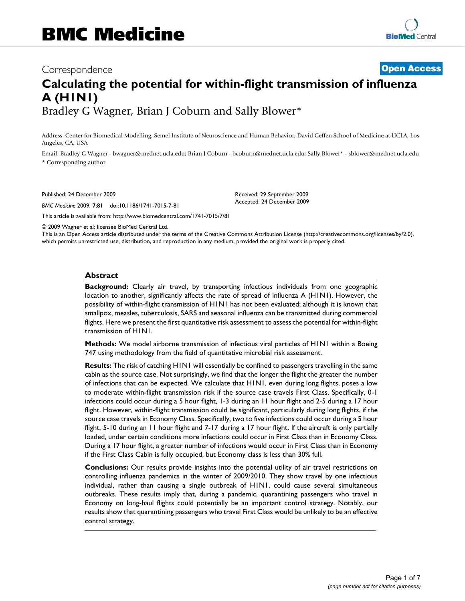# Correspondence **[Open Access](http://www.biomedcentral.com/info/about/charter/) Calculating the potential for within-flight transmission of influenza A (H1N1)** Bradley G Wagner, Brian J Coburn and Sally Blower\*

Address: Center for Biomedical Modelling, Semel Institute of Neuroscience and Human Behavior, David Geffen School of Medicine at UCLA, Los Angeles, CA, USA

Email: Bradley G Wagner - bwagner@mednet.ucla.edu; Brian J Coburn - bcoburn@mednet.ucla.edu; Sally Blower\* - sblower@mednet.ucla.edu \* Corresponding author

Published: 24 December 2009

*BMC Medicine* 2009, **7**:81 doi:10.1186/1741-7015-7-81

[This article is available from: http://www.biomedcentral.com/1741-7015/7/81](http://www.biomedcentral.com/1741-7015/7/81)

Received: 29 September 2009 Accepted: 24 December 2009

© 2009 Wagner et al; licensee BioMed Central Ltd.

This is an Open Access article distributed under the terms of the Creative Commons Attribution License [\(http://creativecommons.org/licenses/by/2.0\)](http://creativecommons.org/licenses/by/2.0), which permits unrestricted use, distribution, and reproduction in any medium, provided the original work is properly cited.

### **Abstract**

**Background:** Clearly air travel, by transporting infectious individuals from one geographic location to another, significantly affects the rate of spread of influenza A (H1N1). However, the possibility of within-flight transmission of H1N1 has not been evaluated; although it is known that smallpox, measles, tuberculosis, SARS and seasonal influenza can be transmitted during commercial flights. Here we present the first quantitative risk assessment to assess the potential for within-flight transmission of H1N1.

**Methods:** We model airborne transmission of infectious viral particles of H1N1 within a Boeing 747 using methodology from the field of quantitative microbial risk assessment.

**Results:** The risk of catching H1N1 will essentially be confined to passengers travelling in the same cabin as the source case. Not surprisingly, we find that the longer the flight the greater the number of infections that can be expected. We calculate that H1N1, even during long flights, poses a low to moderate within-flight transmission risk if the source case travels First Class. Specifically, 0-1 infections could occur during a 5 hour flight, 1-3 during an 11 hour flight and 2-5 during a 17 hour flight. However, within-flight transmission could be significant, particularly during long flights, if the source case travels in Economy Class. Specifically, two to five infections could occur during a 5 hour flight, 5-10 during an 11 hour flight and 7-17 during a 17 hour flight. If the aircraft is only partially loaded, under certain conditions more infections could occur in First Class than in Economy Class. During a 17 hour flight, a greater number of infections would occur in First Class than in Economy if the First Class Cabin is fully occupied, but Economy class is less than 30% full.

**Conclusions:** Our results provide insights into the potential utility of air travel restrictions on controlling influenza pandemics in the winter of 2009/2010. They show travel by one infectious individual, rather than causing a single outbreak of H1N1, could cause several simultaneous outbreaks. These results imply that, during a pandemic, quarantining passengers who travel in Economy on long-haul flights could potentially be an important control strategy. Notably, our results show that quarantining passengers who travel First Class would be unlikely to be an effective control strategy.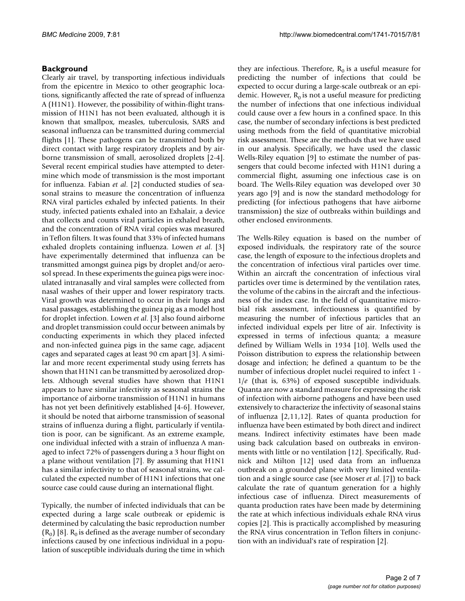## **Background**

Clearly air travel, by transporting infectious individuals from the epicentre in Mexico to other geographic locations, significantly affected the rate of spread of influenza A (H1N1). However, the possibility of within-flight transmission of H1N1 has not been evaluated, although it is known that smallpox, measles, tuberculosis, SARS and seasonal influenza can be transmitted during commercial flights [1]. These pathogens can be transmitted both by direct contact with large respiratory droplets and by airborne transmission of small, aerosolized droplets [2-4]. Several recent empirical studies have attempted to determine which mode of transmission is the most important for influenza. Fabian *et al*. [2] conducted studies of seasonal strains to measure the concentration of influenza RNA viral particles exhaled by infected patients. In their study, infected patients exhaled into an Exhalair, a device that collects and counts viral particles in exhaled breath, and the concentration of RNA viral copies was measured in Teflon filters. It was found that 33% of infected humans exhaled droplets containing influenza. Lowen *et al*. [3] have experimentally determined that influenza can be transmitted amongst guinea pigs by droplet and/or aerosol spread. In these experiments the guinea pigs were inoculated intranasally and viral samples were collected from nasal washes of their upper and lower respiratory tracts. Viral growth was determined to occur in their lungs and nasal passages, establishing the guinea pig as a model host for droplet infection. Lowen *et al*. [3] also found airborne and droplet transmission could occur between animals by conducting experiments in which they placed infected and non-infected guinea pigs in the same cage, adjacent cages and separated cages at least 90 cm apart [3]. A similar and more recent experimental study using ferrets has shown that H1N1 can be transmitted by aerosolized droplets. Although several studies have shown that H1N1 appears to have similar infectivity as seasonal strains the importance of airborne transmission of H1N1 in humans has not yet been definitively established [4-6]. However, it should be noted that airborne transmission of seasonal strains of influenza during a flight, particularly if ventilation is poor, can be significant. As an extreme example, one individual infected with a strain of influenza A managed to infect 72% of passengers during a 3 hour flight on a plane without ventilation [7]. By assuming that H1N1 has a similar infectivity to that of seasonal strains, we calculated the expected number of H1N1 infections that one source case could cause during an international flight.

Typically, the number of infected individuals that can be expected during a large scale outbreak or epidemic is determined by calculating the basic reproduction number  $(R_0)$  [8].  $R_0$  is defined as the average number of secondary infections caused by one infectious individual in a population of susceptible individuals during the time in which

they are infectious. Therefore,  $R_0$  is a useful measure for predicting the number of infections that could be expected to occur during a large-scale outbreak or an epidemic. However,  $R_0$  is not a useful measure for predicting the number of infections that one infectious individual could cause over a few hours in a confined space. In this case, the number of secondary infections is best predicted using methods from the field of quantitative microbial risk assessment. These are the methods that we have used in our analysis. Specifically, we have used the classic Wells-Riley equation [9] to estimate the number of passengers that could become infected with H1N1 during a commercial flight, assuming one infectious case is on board. The Wells-Riley equation was developed over 30 years ago [9] and is now the standard methodology for predicting (for infectious pathogens that have airborne transmission) the size of outbreaks within buildings and other enclosed environments.

The Wells-Riley equation is based on the number of exposed individuals, the respiratory rate of the source case, the length of exposure to the infectious droplets and the concentration of infectious viral particles over time. Within an aircraft the concentration of infectious viral particles over time is determined by the ventilation rates, the volume of the cabins in the aircraft and the infectiousness of the index case. In the field of quantitative microbial risk assessment, infectiousness is quantified by measuring the number of infectious particles that an infected individual expels per litre of air. Infectivity is expressed in terms of infectious quanta; a measure defined by William Wells in 1934 [10]. Wells used the Poisson distribution to express the relationship between dosage and infection; he defined a quantum to be the number of infectious droplet nuclei required to infect 1 - 1/*e* (that is, 63%) of exposed susceptible individuals. Quanta are now a standard measure for expressing the risk of infection with airborne pathogens and have been used extensively to characterize the infectivity of seasonal stains of influenza [2,11,12]. Rates of quanta production for influenza have been estimated by both direct and indirect means. Indirect infectivity estimates have been made using back calculation based on outbreaks in environments with little or no ventilation [12]. Specifically, Rudnick and Milton [12] used data from an influenza outbreak on a grounded plane with very limited ventilation and a single source case (see Moser *et al*. [7]) to back calculate the rate of quantum generation for a highly infectious case of influenza. Direct measurements of quanta production rates have been made by determining the rate at which infectious individuals exhale RNA virus copies [2]. This is practically accomplished by measuring the RNA virus concentration in Teflon filters in conjunction with an individual's rate of respiration [2].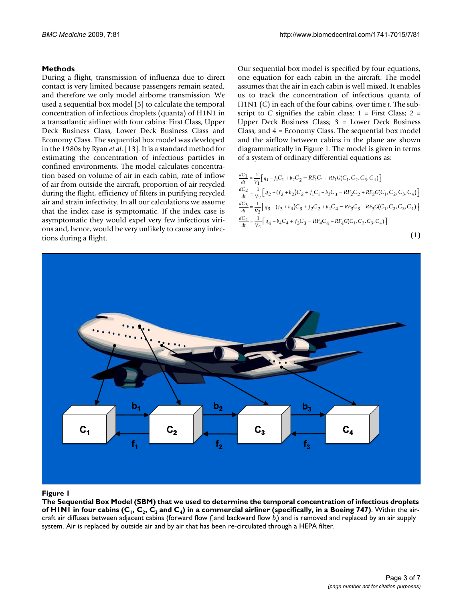### **Methods**

During a flight, transmission of influenza due to direct contact is very limited because passengers remain seated, and therefore we only model airborne transmission. We used a sequential box model [5] to calculate the temporal concentration of infectious droplets (quanta) of H1N1 in a transatlantic airliner with four cabins: First Class, Upper Deck Business Class, Lower Deck Business Class and Economy Class. The sequential box model was developed in the 1980s by Ryan *et al*. [13]. It is a standard method for estimating the concentration of infectious particles in confined environments. The model calculates concentration based on volume of air in each cabin, rate of inflow of air from outside the aircraft, proportion of air recycled during the flight, efficiency of filters in purifying recycled air and strain infectivity. In all our calculations we assume that the index case is symptomatic. If the index case is asymptomatic they would expel very few infectious virions and, hence, would be very unlikely to cause any infections during a flight.

Our sequential box model is specified by four equations, one equation for each cabin in the aircraft. The model assumes that the air in each cabin is well mixed. It enables us to track the concentration of infectious quanta of H1N1 (*C*) in each of the four cabins, over time *t*. The subscript to *C* signifies the cabin class:  $1 =$  First Class;  $2 =$ Upper Deck Business Class; 3 = Lower Deck Business Class; and 4 = Economy Class. The sequential box model and the airflow between cabins in the plane are shown diagrammatically in Figure 1. The model is given in terms of a system of ordinary differential equations as:

$$
\frac{dC_1}{dt} = \frac{1}{V_1} \Big[ q_1 - f_1 C_1 + b_2 C_2 - RF_1 C_1 + RF_1 G(C_1, C_2, C_3, C_4) \Big]
$$
  
\n
$$
\frac{dC_2}{dt} = \frac{1}{V_2} \Big[ q_2 - (f_2 + b_2) C_2 + f_1 C_1 + b_3 C_3 - RF_2 C_2 + RF_2 G(C_1, C_2, C_3, C_4) \Big]
$$
  
\n
$$
\frac{dC_3}{dt} = \frac{1}{V_3} \Big[ q_3 - (f_3 + b_3) C_3 + f_2 C_2 + b_4 C_4 - RF_3 C_3 + RF_3 G(C_1, C_2, C_3, C_4) \Big]
$$
  
\n
$$
\frac{dC_4}{dt} = \frac{1}{V_4} \Big[ q_4 - b_4 C_4 + f_3 C_3 - RF_4 C_4 + RF_4 G(C_1, C_2, C_3, C_4) \Big]
$$
  
\n(1)



cabins (C The Sequential Box Model (SBM) that we used to determine the temporal concentration of infectious droplets of H1N1 in  $\Gamma$ **The Sequential Box Model (SBM) that we used to determine the temporal concentration of infectious droplets of H1N1 in four cabins**  $(C_1, C_2, C_3$  **and**  $C_4$ **) in a commercial airliner (specifically, in a Boeing 747)**. Within the aircraft air diffuses between adjacent cabins (forward flow *fi* and backward flow *bi* ) and is removed and replaced by an air supply system. Air is replaced by outside air and by air that has been re-circulated through a HEPA filter.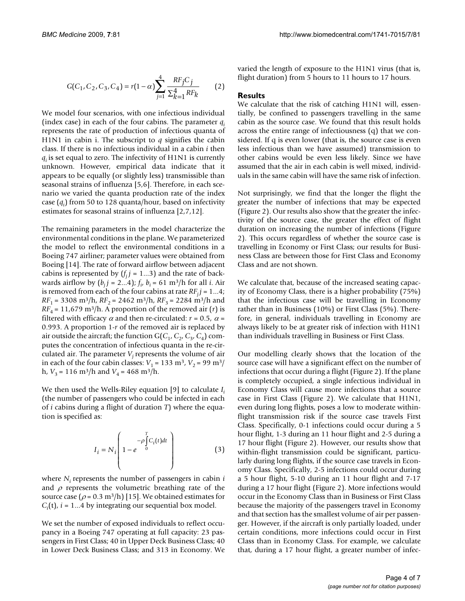$$
G(C_1, C_2, C_3, C_4) = r(1 - \alpha) \sum_{j=1}^{4} \frac{RF_j C_j}{\sum_{k=1}^{4} RF_k}
$$
 (2)

We model four scenarios, with one infectious individual (index case) in each of the four cabins. The parameter *qi* represents the rate of production of infectious quanta of H1N1 in cabin i. The subscript to *q* signifies the cabin class. If there is no infectious individual in a cabin *i* then *qi* is set equal to zero. The infectivity of H1N1 is currently unknown. However, empirical data indicate that it appears to be equally (or slightly less) transmissible than seasonal strains of influenza [5,6]. Therefore, in each scenario we varied the quanta production rate of the index case (*qi* ) from 50 to 128 quanta/hour, based on infectivity estimates for seasonal strains of influenza [2,7,12].

The remaining parameters in the model characterize the environmental conditions in the plane. We parameterized the model to reflect the environmental conditions in a Boeing 747 airliner; parameter values were obtained from Boeing [14]. The rate of forward airflow between adjacent cabins is represented by  $(f_i j = 1...3)$  and the rate of backwards airflow by  $(b_j j = 2...4)$ ;  $f_{i'} b_i = 61 \text{ m}^3/\text{h}$  for all *i*. Air is removed from each of the four cabins at rate  $RF<sub>j</sub>$   $= 1...4$ ;  $RF_1 = 3308 \text{ m}^3\text{/h}$ ,  $RF_2 = 2462 \text{ m}^3\text{/h}$ ,  $RF_3 = 2284 \text{ m}^3\text{/h}$  and  $RF<sub>4</sub> = 11,679$  m<sup>3</sup>/h. A proportion of the removed air (*r*) is filtered with efficacy  $\alpha$  and then re-circulated:  $r = 0.5$ ,  $\alpha =$ 0.993. A proportion 1-*r* of the removed air is replaced by air outside the aircraft; the function  $G(C_1, C_2, C_3, C_4)$  computes the concentration of infectious quanta in the re-circulated air. The parameter  $V_i$  represents the volume of air in each of the four cabin classes:  $V_1 = 133 \text{ m}^3$ ,  $V_2 = 99 \text{ m}^3$ / h,  $V_3 = 116$  m<sup>3</sup>/h and  $V_4 = 468$  m<sup>3</sup>/h.

We then used the Wells-Riley equation [9] to calculate *Ii* (the number of passengers who could be infected in each of *i* cabins during a flight of duration *T*) where the equation is specified as:

$$
I_i = N_i \left( 1 - e^{-\rho \int_0^T C_i(t) dt} \right)
$$
 (3)

where  $N_i$  represents the number of passengers in cabin  $i$ and  $\rho$  represents the volumetric breathing rate of the source case ( $\rho$  = 0.3 m<sup>3</sup>/h) [15]. We obtained estimates for  $C<sub>i</sub>(t)$ , *i* = 1...4 by integrating our sequential box model.

We set the number of exposed individuals to reflect occupancy in a Boeing 747 operating at full capacity: 23 passengers in First Class; 40 in Upper Deck Business Class; 40 in Lower Deck Business Class; and 313 in Economy. We varied the length of exposure to the H1N1 virus (that is, flight duration) from 5 hours to 11 hours to 17 hours.

### **Results**

We calculate that the risk of catching H1N1 will, essentially, be confined to passengers travelling in the same cabin as the source case. We found that this result holds across the entire range of infectiousness (q) that we considered. If q is even lower (that is, the source case is even less infectious than we have assumed) transmission to other cabins would be even less likely. Since we have assumed that the air in each cabin is well mixed, individuals in the same cabin will have the same risk of infection.

Not surprisingly, we find that the longer the flight the greater the number of infections that may be expected (Figure 2). Our results also show that the greater the infectivity of the source case, the greater the effect of flight duration on increasing the number of infections (Figure 2). This occurs regardless of whether the source case is travelling in Economy or First Class; our results for Business Class are between those for First Class and Economy Class and are not shown.

We calculate that, because of the increased seating capacity of Economy Class, there is a higher probability (75%) that the infectious case will be travelling in Economy rather than in Business (10%) or First Class (5%). Therefore, in general, individuals travelling in Economy are always likely to be at greater risk of infection with H1N1 than individuals travelling in Business or First Class.

Our modelling clearly shows that the location of the source case will have a significant effect on the number of infections that occur during a flight (Figure 2). If the plane is completely occupied, a single infectious individual in Economy Class will cause more infections that a source case in First Class (Figure 2). We calculate that H1N1, even during long flights, poses a low to moderate withinflight transmission risk if the source case travels First Class. Specifically, 0-1 infections could occur during a 5 hour flight, 1-3 during an 11 hour flight and 2-5 during a 17 hour flight (Figure 2). However, our results show that within-flight transmission could be significant, particularly during long flights, if the source case travels in Economy Class. Specifically, 2-5 infections could occur during a 5 hour flight, 5-10 during an 11 hour flight and 7-17 during a 17 hour flight (Figure 2). More infections would occur in the Economy Class than in Business or First Class because the majority of the passengers travel in Economy and that section has the smallest volume of air per passenger. However, if the aircraft is only partially loaded, under certain conditions, more infections could occur in First Class than in Economy Class. For example, we calculate that, during a 17 hour flight, a greater number of infec-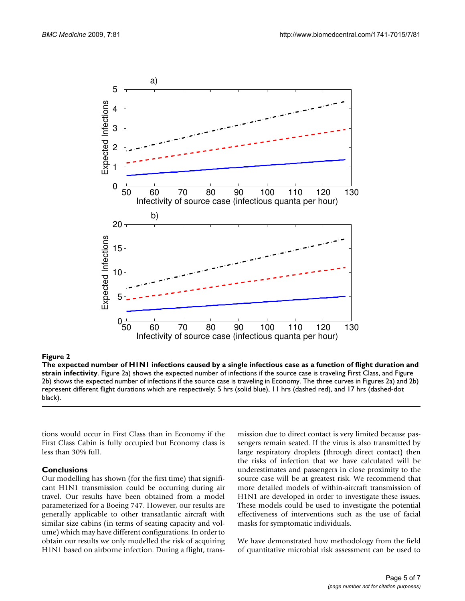

**The expected number of H1N1 infections caused by a single infectious case as a function of flight duration and strain infectivity**. Figure 2a) shows the expected number of infections if the source case is traveling First Class, and Figure 2b) shows the expected number of infections if the source case is traveling in Economy. The three curves in Figures 2a) and 2b) represent different flight durations which are respectively; 5 hrs (solid blue), 11 hrs (dashed red), and 17 hrs (dashed-dot black).

tions would occur in First Class than in Economy if the First Class Cabin is fully occupied but Economy class is less than 30% full.

### **Conclusions**

Our modelling has shown (for the first time) that significant H1N1 transmission could be occurring during air travel. Our results have been obtained from a model parameterized for a Boeing 747. However, our results are generally applicable to other transatlantic aircraft with similar size cabins (in terms of seating capacity and volume) which may have different configurations. In order to obtain our results we only modelled the risk of acquiring H1N1 based on airborne infection. During a flight, transmission due to direct contact is very limited because passengers remain seated. If the virus is also transmitted by large respiratory droplets (through direct contact) then the risks of infection that we have calculated will be underestimates and passengers in close proximity to the source case will be at greatest risk. We recommend that more detailed models of within-aircraft transmission of H1N1 are developed in order to investigate these issues. These models could be used to investigate the potential effectiveness of interventions such as the use of facial masks for symptomatic individuals.

We have demonstrated how methodology from the field of quantitative microbial risk assessment can be used to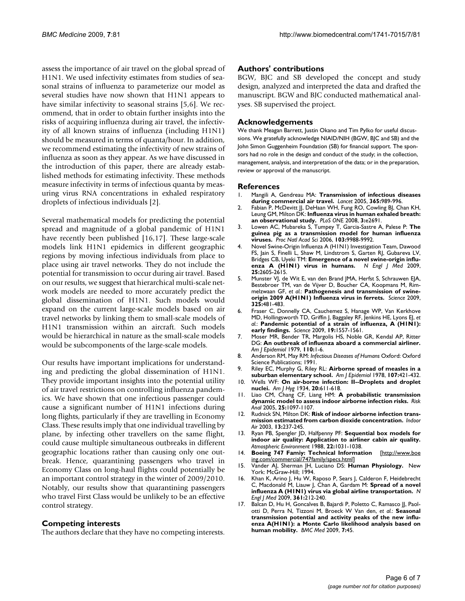assess the importance of air travel on the global spread of H1N1. We used infectivity estimates from studies of seasonal strains of influenza to parameterize our model as several studies have now shown that H1N1 appears to have similar infectivity to seasonal strains [5,6]. We recommend, that in order to obtain further insights into the risks of acquiring influenza during air travel, the infectivity of all known strains of influenza (including H1N1) should be measured in terms of quanta/hour. In addition, we recommend estimating the infectivity of new strains of influenza as soon as they appear. As we have discussed in the introduction of this paper, there are already established methods for estimating infectivity. These methods measure infectivity in terms of infectious quanta by measuring virus RNA concentrations in exhaled respiratory droplets of infectious individuals [2].

Several mathematical models for predicting the potential spread and magnitude of a global pandemic of H1N1 have recently been published [16,17]. These large-scale models link H1N1 epidemics in different geographic regions by moving infectious individuals from place to place using air travel networks. They do not include the potential for transmission to occur during air travel. Based on our results, we suggest that hierarchical multi-scale network models are needed to more accurately predict the global dissemination of H1N1. Such models would expand on the current large-scale models based on air travel networks by linking them to small-scale models of H1N1 transmission within an aircraft. Such models would be hierarchical in nature as the small-scale models would be subcomponents of the large-scale models.

Our results have important implications for understanding and predicting the global dissemination of H1N1. They provide important insights into the potential utility of air travel restrictions on controlling influenza pandemics. We have shown that one infectious passenger could cause a significant number of H1N1 infections during long flights, particularly if they are travelling in Economy Class. These results imply that one individual travelling by plane, by infecting other travellers on the same flight, could cause multiple simultaneous outbreaks in different geographic locations rather than causing only one outbreak. Hence, quarantining passengers who travel in Economy Class on long-haul flights could potentially be an important control strategy in the winter of 2009/2010. Notably, our results show that quarantining passengers who travel First Class would be unlikely to be an effective control strategy.

### **Competing interests**

The authors declare that they have no competing interests.

### **Authors' contributions**

BGW, BJC and SB developed the concept and study design, analyzed and interpreted the data and drafted the manuscript. BGW and BJC conducted mathematical analyses. SB supervised the project.

### **Acknowledgements**

We thank Meagan Barrett, Justin Okano and Tim Pylko for useful discussions. We gratefully acknowledge NIAID/NIH (BGW, BJC and SB) and the John Simon Guggenheim Foundation (SB) for financial support. The sponsors had no role in the design and conduct of the study; in the collection, management, analysis, and interpretation of the data; or in the preparation, review or approval of the manuscript.

### **References**

- 1. Mangili A, Gendreau MA: **[Transmission of infectious diseases](http://www.ncbi.nlm.nih.gov/entrez/query.fcgi?cmd=Retrieve&db=PubMed&dopt=Abstract&list_uids=15767002) [during commercial air travel.](http://www.ncbi.nlm.nih.gov/entrez/query.fcgi?cmd=Retrieve&db=PubMed&dopt=Abstract&list_uids=15767002)** *Lancet* 2005, **365:**989-996.
- 2. Fabian P, McDevitt JJ, DeHaan WH, Fung RO, Cowling BJ, Chan KH, Leung GM, Milton DK: **[Influenza virus in human exhaled breath:](http://www.ncbi.nlm.nih.gov/entrez/query.fcgi?cmd=Retrieve&db=PubMed&dopt=Abstract&list_uids=18628983) [an observational study.](http://www.ncbi.nlm.nih.gov/entrez/query.fcgi?cmd=Retrieve&db=PubMed&dopt=Abstract&list_uids=18628983)** *PLoS ONE* 2008, **3:**e2691.
- 3. Lowen AC, Mubareka S, Tumpey T, Garcia-Sastre A, Palese P: **[The](http://www.ncbi.nlm.nih.gov/entrez/query.fcgi?cmd=Retrieve&db=PubMed&dopt=Abstract&list_uids=16785447) [guinea pig as a transmission model for human influenza](http://www.ncbi.nlm.nih.gov/entrez/query.fcgi?cmd=Retrieve&db=PubMed&dopt=Abstract&list_uids=16785447) [viruses.](http://www.ncbi.nlm.nih.gov/entrez/query.fcgi?cmd=Retrieve&db=PubMed&dopt=Abstract&list_uids=16785447)** *Proc Natl Acad Sci* 2006, **103:**9988-9992.
- 4. Novel Swine-Origin Influenza A (H1N1) Investigation Team, Dawood FS, Jain S, Finelli L, Shaw M, Lindstrom S, Garten RJ, Gubareva LV, Bridges CB, Uyeki TM: **Emergence of a novel swine-origin influenza A (H1N1) virus in humans.** *N Engl J Med* 2009, **25:**2605-2615.
- 5. Munster VJ, de Wit E, van den Brand JMA, Herfst S, Schrauwen EJA, Bestebroer TM, van de Vijver D, Boucher CA, Koopmans M, Rimmelzwaan GF, *et al.*: **[Pathogenesis and transmission of swine](http://www.ncbi.nlm.nih.gov/entrez/query.fcgi?cmd=Retrieve&db=PubMed&dopt=Abstract&list_uids=19574348)[origin 2009 A\(H1N1\) Influenza virus in ferrets.](http://www.ncbi.nlm.nih.gov/entrez/query.fcgi?cmd=Retrieve&db=PubMed&dopt=Abstract&list_uids=19574348)** *Science* 2009, **325:**481-483.
- 6. Fraser C, Donnelly CA, Cauchemez S, Hanage WP, Van Kerkhove MD, Hollingsworth TD, Griffin J, Baggaley RF, Jenkins HE, Lyons EJ, *et al.*: **Pandemic potential of a strain of influenza, A (H1N1): early findings.** *Science* 2009, **19:**1557-1561.
- 7. Moser MR, Bender TR, Margolis HS, Noble GR, Kendal AP, Ritter DG: **[An outbreak of influenza aboard a commercial airliner.](http://www.ncbi.nlm.nih.gov/entrez/query.fcgi?cmd=Retrieve&db=PubMed&dopt=Abstract&list_uids=463858)** *Am J Epidemiol* 1979, **110:**1-6.
- 8. Anderson RM, May RM: *Infectious Diseases of Humans* Oxford: Oxford Science Publications; 1991.
- 9. Riley EC, Murphy G, Riley RL: **[Airborne spread of measles in a](http://www.ncbi.nlm.nih.gov/entrez/query.fcgi?cmd=Retrieve&db=PubMed&dopt=Abstract&list_uids=665658) [suburban elementary school.](http://www.ncbi.nlm.nih.gov/entrez/query.fcgi?cmd=Retrieve&db=PubMed&dopt=Abstract&list_uids=665658)** *Am J Epidemiol* 1978, **107:**421-432.
- 10. Wells WF: **On air-borne infection: II--Droplets and droplet nuclei.** *Am J Hyg* 1934, **20:**611-618.
- 11. Liao CM, Chang CF, Liang HM: **[A probabilistic transmission](http://www.ncbi.nlm.nih.gov/entrez/query.fcgi?cmd=Retrieve&db=PubMed&dopt=Abstract&list_uids=16297217) [dynamic model to assess indoor airborne infection risks.](http://www.ncbi.nlm.nih.gov/entrez/query.fcgi?cmd=Retrieve&db=PubMed&dopt=Abstract&list_uids=16297217)** *Risk Anal* 2005, **25:**1097-1107.
- 12. Rudnick SN, Milton DK: **[Risk of indoor airborne infection trans](http://www.ncbi.nlm.nih.gov/entrez/query.fcgi?cmd=Retrieve&db=PubMed&dopt=Abstract&list_uids=12950586)[mission estimated from carbon dioxide concentration.](http://www.ncbi.nlm.nih.gov/entrez/query.fcgi?cmd=Retrieve&db=PubMed&dopt=Abstract&list_uids=12950586)** *Indoor Air* 2003, **13:**237-245.
- 13. Ryan PB, Spengler JD, Halfpenny PF: **Sequential box models for indoor air quality: Application to airliner cabin air quality.** *Atmospheric Environment* 1988, **22:**1031-1038.
- 14. **Boeing 747 Famiy: Technical Information** [\[http://www.boe](http://www.boeing.com/commercial/747family/specs.html) [ing.com/commercial/747family/specs.html\]](http://www.boeing.com/commercial/747family/specs.html)
- 15. Vander AJ, Sherman JH, Luciano DS: **Human Physiology.** New York: McGraw-Hill; 1994.
- 16. Khan K, Arino J, Hu W, Raposo P, Sears J, Calderon F, Heidebrecht C, Macdonald M, Liauw J, Chan A, Gardam M: **[Spread of a novel](http://www.ncbi.nlm.nih.gov/entrez/query.fcgi?cmd=Retrieve&db=PubMed&dopt=Abstract&list_uids=19564630) [influenza A \(H1N1\) virus via global airline transportation.](http://www.ncbi.nlm.nih.gov/entrez/query.fcgi?cmd=Retrieve&db=PubMed&dopt=Abstract&list_uids=19564630)** *N Engl J Med* 2009, **361:**212-240.
- 17. Balcan D, Hu H, Goncalves B, Bajardi P, Poletto C, Ramasco JJ, Paolotti D, Perra N, Tizzoni M, Broeck W Van den, *et al.*: **[Seasonal](http://www.ncbi.nlm.nih.gov/entrez/query.fcgi?cmd=Retrieve&db=PubMed&dopt=Abstract&list_uids=19744314) [transmission potential and activity peaks of the new influ](http://www.ncbi.nlm.nih.gov/entrez/query.fcgi?cmd=Retrieve&db=PubMed&dopt=Abstract&list_uids=19744314)enza A(H1N1): a Monte Carlo likelihood analysis based on [human mobility.](http://www.ncbi.nlm.nih.gov/entrez/query.fcgi?cmd=Retrieve&db=PubMed&dopt=Abstract&list_uids=19744314)** *BMC Med* 2009, **7:**45.